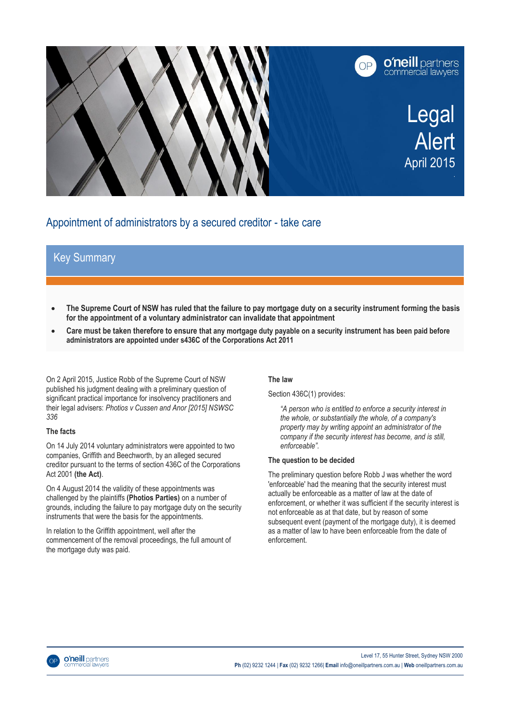

# Appointment of administrators by a secured creditor - take care

# Key Summary

- **The Supreme Court of NSW has ruled that the failure to pay mortgage duty on a security instrument forming the basis for the appointment of a voluntary administrator can invalidate that appointment**
- **Care must be taken therefore to ensure that any mortgage duty payable on a security instrument has been paid before administrators are appointed under s436C of the Corporations Act 2011**

On 2 April 2015, Justice Robb of the Supreme Court of NSW published his judgment dealing with a preliminary question of significant practical importance for insolvency practitioners and their legal advisers: *Photios v Cussen and Anor [2015] NSWSC 336*

### **The facts**

On 14 July 2014 voluntary administrators were appointed to two companies, Griffith and Beechworth, by an alleged secured creditor pursuant to the terms of section 436C of the Corporations Act 2001 **(the Act)**.

On 4 August 2014 the validity of these appointments was challenged by the plaintiffs **(Photios Parties)** on a number of grounds, including the failure to pay mortgage duty on the security instruments that were the basis for the appointments.

In relation to the Griffith appointment, well after the commencement of the removal proceedings, the full amount of the mortgage duty was paid.

## **The law**

Section 436C(1) provides:

*"A person who is entitled to enforce a security interest in the whole, or substantially the whole, of a company's property may by writing appoint an administrator of the company if the security interest has become, and is still, enforceable".*

### **The question to be decided**

The preliminary question before Robb J was whether the word 'enforceable' had the meaning that the security interest must actually be enforceable as a matter of law at the date of enforcement, or whether it was sufficient if the security interest is not enforceable as at that date, but by reason of some subsequent event (payment of the mortgage duty), it is deemed as a matter of law to have been enforceable from the date of enforcement.